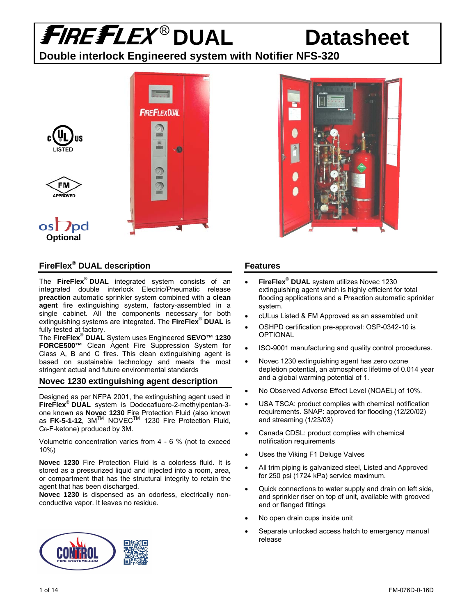### **Double interlock Engineered system with Notifier NFS-320**



### **FireFlex® DUAL description**

The **FireFlex® DUAL** integrated system consists of an integrated double interlock Electric/Pneumatic release **preaction** automatic sprinkler system combined with a **clean agent** fire extinguishing system, factory-assembled in a single cabinet. All the components necessary for both extinguishing systems are integrated. The **FireFlex® DUAL** is fully tested at factory.

The **FireFlex® DUAL** System uses Engineered **SEVO™ 1230 FORCE500™** Clean Agent Fire Suppression System for Class A, B and C fires. This clean extinguishing agent is based on sustainable technology and meets the most stringent actual and future environmental standards

### **Novec 1230 extinguishing agent description**

Designed as per NFPA 2001, the extinguishing agent used in **FireFlex® DUAL** system is Dodecafluoro-2-methylpentan-3 one known as **Novec 1230** Fire Protection Fluid (also known as **FK-5-1-12**, 3M<sup>™</sup> NOVEC<sup>™</sup> 1230 Fire Protection Fluid, C6-F-ketone) produced by 3M.

Volumetric concentration varies from 4 - 6 % (not to exceed 10%)

**Novec 1230** Fire Protection Fluid is a colorless fluid. It is stored as a pressurized liquid and injected into a room, area, or compartment that has the structural integrity to retain the agent that has been discharged.

**Novec 1230** is dispensed as an odorless, electrically nonconductive vapor. It leaves no residue.





### **Features**

- **FireFlex® DUAL** system utilizes Novec 1230 extinguishing agent which is highly efficient for total flooding applications and a Preaction automatic sprinkler system.
- cULus Listed & FM Approved as an assembled unit
- OSHPD certification pre-approval: OSP-0342-10 is OPTIONAL
- ISO-9001 manufacturing and quality control procedures.
- Novec 1230 extinguishing agent has zero ozone depletion potential, an atmospheric lifetime of 0.014 year and a global warming potential of 1.
- No Observed Adverse Effect Level (NOAEL) of 10%.
- USA TSCA: product complies with chemical notification requirements. SNAP: approved for flooding (12/20/02) and streaming (1/23/03)
- Canada CDSL: product complies with chemical notification requirements
- Uses the Viking F1 Deluge Valves
- All trim piping is galvanized steel, Listed and Approved for 250 psi (1724 kPa) service maximum.
- Quick connections to water supply and drain on left side, and sprinkler riser on top of unit, available with grooved end or flanged fittings
- No open drain cups inside unit
- Separate unlocked access hatch to emergency manual release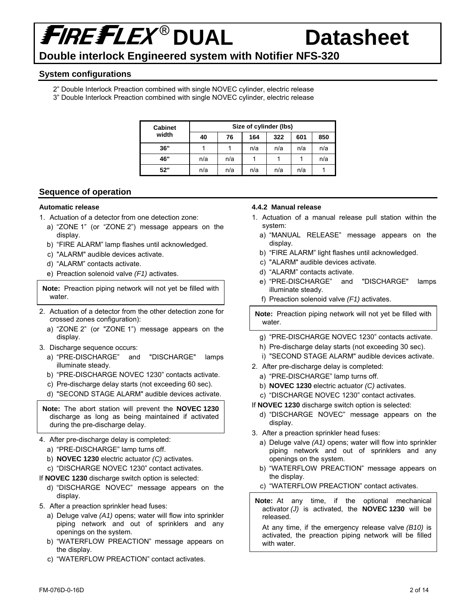## ® **DUAL Datasheet Double interlock Engineered system with Notifier NFS-320**

#### **System configurations**

- 2" Double Interlock Preaction combined with single NOVEC cylinder, electric release
- 3" Double Interlock Preaction combined with single NOVEC cylinder, electric release

| <b>Cabinet</b> | Size of cylinder (lbs) |     |     |     |     |     |  |
|----------------|------------------------|-----|-----|-----|-----|-----|--|
| width          | 40                     | 76  | 164 | 322 | 601 | 850 |  |
| 36"            |                        |     | n/a | n/a | n/a | n/a |  |
| 46"            | n/a                    | n/a |     |     |     | n/a |  |
| 52"            | n/a                    | n/a | n/a | n/a | n/a |     |  |

#### **Sequence of operation**

#### **Automatic release**

- 1. Actuation of a detector from one detection zone:
	- a) "ZONE 1" (or "ZONE 2") message appears on the display.
	- b) "FIRE ALARM" lamp flashes until acknowledged.
	- c) "ALARM" audible devices activate.
	- d) "ALARM" contacts activate.
	- e) Preaction solenoid valve *(F1)* activates.

**Note:** Preaction piping network will not yet be filled with water.

- 2. Actuation of a detector from the other detection zone for crossed zones configuration):
	- a) "ZONE 2" (or "ZONE 1") message appears on the display.
- 3. Discharge sequence occurs:
	- a) "PRE-DISCHARGE" and "DISCHARGE" lamps illuminate steady.
	- b) "PRE-DISCHARGE NOVEC 1230" contacts activate.
	- c) Pre-discharge delay starts (not exceeding 60 sec).
	- d) "SECOND STAGE ALARM" audible devices activate.

**Note:** The abort station will prevent the **NOVEC 1230** discharge as long as being maintained if activated during the pre-discharge delay.

- 4. After pre-discharge delay is completed:
	- a) "PRE-DISCHARGE" lamp turns off.
	- b) **NOVEC 1230** electric actuator *(C)* activates.
	- c) "DISCHARGE NOVEC 1230" contact activates.

If **NOVEC 1230** discharge switch option is selected:

- d) "DISCHARGE NOVEC" message appears on the display.
- 5. After a preaction sprinkler head fuses:
	- a) Deluge valve *(A1)* opens; water will flow into sprinkler piping network and out of sprinklers and any openings on the system.
	- b) "WATERFLOW PREACTION" message appears on the display.
	- c) "WATERFLOW PREACTION" contact activates.

#### **4.4.2 Manual release**

- 1. Actuation of a manual release pull station within the system:
	- a) "MANUAL RELEASE" message appears on the display.
	- b) "FIRE ALARM" light flashes until acknowledged.
	- c) "ALARM" audible devices activate.
	- d) "ALARM" contacts activate.
	- e) "PRE-DISCHARGE" and "DISCHARGE" lamps illuminate steady.
	- f) Preaction solenoid valve *(F1)* activates.

**Note:** Preaction piping network will not yet be filled with water.

- g) "PRE-DISCHARGE NOVEC 1230" contacts activate.
- h) Pre-discharge delay starts (not exceeding 30 sec).
- i) "SECOND STAGE ALARM" audible devices activate.
- 2. After pre-discharge delay is completed:
	- a) "PRE-DISCHARGE" lamp turns off.
	- b) **NOVEC 1230** electric actuator *(C)* activates.
	- c) "DISCHARGE NOVEC 1230" contact activates.
- If **NOVEC 1230** discharge switch option is selected:
	- d) "DISCHARGE NOVEC" message appears on the display.
- 3. After a preaction sprinkler head fuses:
	- a) Deluge valve *(A1)* opens; water will flow into sprinkler piping network and out of sprinklers and any openings on the system.
	- b) "WATERFLOW PREACTION" message appears on the display.
	- c) "WATERFLOW PREACTION" contact activates.
- **Note:** At any time, if the optional mechanical activator *(J)* is activated, the **NOVEC 1230** will be released.

At any time, if the emergency release valve *(B10)* is activated, the preaction piping network will be filled with water.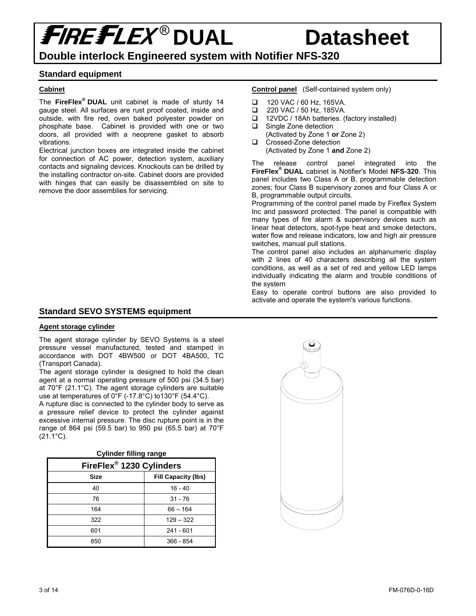**Double interlock Engineered system with Notifier NFS-320** 

#### **Standard equipment**

#### **Cabinet**

The **FireFlex® DUAL** unit cabinet is made of sturdy 14 gauge steel. All surfaces are rust proof coated, inside and outside, with fire red, oven baked polyester powder on phosphate base. Cabinet is provided with one or two doors, all provided with a neoprene gasket to absorb vibrations.

Electrical junction boxes are integrated inside the cabinet for connection of AC power, detection system, auxiliary contacts and signaling devices. Knockouts can be drilled by the installing contractor on-site. Cabinet doors are provided with hinges that can easily be disassembled on site to remove the door assemblies for servicing.

#### **Standard SEVO SYSTEMS equipment**

#### **Agent storage cylinder**

The agent storage cylinder by SEVO Systems is a steel pressure vessel manufactured, tested and stamped in accordance with DOT 4BW500 or DOT 4BA500, TC (Transport Canada).

The agent storage cylinder is designed to hold the clean agent at a normal operating pressure of 500 psi (34.5 bar) at 70°F (21.1°C). The agent storage cylinders are suitable use at temperatures of 0°F (-17.8°C) to130°F (54.4°C).

A rupture disc is connected to the cylinder body to serve as a pressure relief device to protect the cylinder against excessive internal pressure. The disc rupture point is in the range of 864 psi (59.5 bar) to 950 psi (65.5 bar) at 70°F (21.1°C).

**Cylinder filling range** 

| FireFlex <sup>®</sup> 1230 Cylinders      |             |  |  |  |  |
|-------------------------------------------|-------------|--|--|--|--|
| <b>Size</b><br><b>Fill Capacity (lbs)</b> |             |  |  |  |  |
| 40                                        | $16 - 40$   |  |  |  |  |
| 76                                        | $31 - 76$   |  |  |  |  |
| 164                                       | $66 - 164$  |  |  |  |  |
| 322                                       | $129 - 322$ |  |  |  |  |
| 601                                       | $241 - 601$ |  |  |  |  |
| 850                                       | 366 - 854   |  |  |  |  |

#### **Control panel** (Self-contained system only)

- $\Box$  120 VAC / 60 Hz, 165VA.
- 220 VAC / 50 Hz, 185VA.
- □ 12VDC / 18Ah batteries. (factory installed)
- □ Single Zone detection (Activated by Zone 1 **or** Zone 2)
- Crossed-Zone detection (Activated by Zone 1 **and** Zone 2)

The release control panel integrated into the **FireFlex® DUAL** cabinet is Notifier's Model **NFS-320**. This panel includes two Class A or B, programmable detection zones; four Class B supervisory zones and four Class A or B, programmable output circuits.

Programming of the control panel made by Fireflex System Inc and password protected. The panel is compatible with many types of fire alarm & supervisory devices such as linear heat detectors, spot-type heat and smoke detectors, water flow and release indicators, low and high air pressure switches, manual pull stations.

The control panel also includes an alphanumeric display with 2 lines of 40 characters describing all the system conditions, as well as a set of red and yellow LED lamps individually indicating the alarm and trouble conditions of the system

Easy to operate control buttons are also provided to activate and operate the system's various functions.

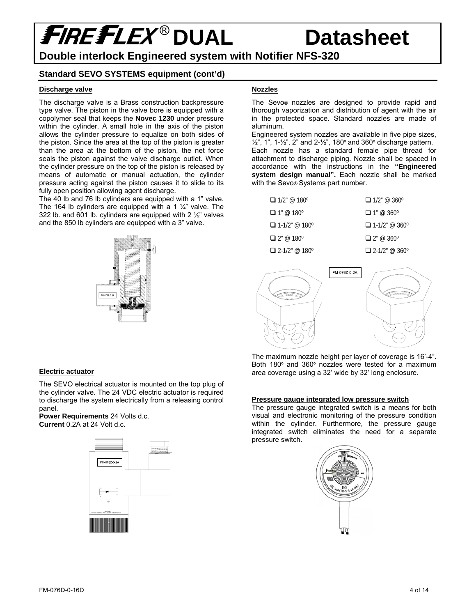## ® **DUAL Datasheet**

### **Double interlock Engineered system with Notifier NFS-320**

#### **Standard SEVO SYSTEMS equipment (cont'd)**

#### **Discharge valve**

The discharge valve is a Brass construction backpressure type valve. The piston in the valve bore is equipped with a copolymer seal that keeps the **Novec 1230** under pressure within the cylinder. A small hole in the axis of the piston allows the cylinder pressure to equalize on both sides of the piston. Since the area at the top of the piston is greater than the area at the bottom of the piston, the net force seals the piston against the valve discharge outlet. When the cylinder pressure on the top of the piston is released by means of automatic or manual actuation, the cylinder pressure acting against the piston causes it to slide to its fully open position allowing agent discharge.

The 40 lb and 76 lb cylinders are equipped with a 1" valve. The 164 lb cylinders are equipped with a 1  $\frac{1}{4}$ " valve. The 322 lb. and 601 lb. cylinders are equipped with 2 ½" valves and the 850 lb cylinders are equipped with a 3" valve.



### **Nozzles**

The Sevo® nozzles are designed to provide rapid and thorough vaporization and distribution of agent with the air in the protected space. Standard nozzles are made of aluminum.

Engineered system nozzles are available in five pipe sizes,  $1/2$ , 1, 1- $1/2$ , 2 and 2- $1/2$ , 180 $\degree$  and 360 $\degree$  discharge pattern. Each nozzle has a standard female pipe thread for attachment to discharge piping. Nozzle shall be spaced in accordance with the instructions in the **"Engineered system design manual".** Each nozzle shall be marked with the Sevo® Systems part number.

| $\Box$ 1/2" @ 180°   | $\Box$ 1/2" @ 360°   |
|----------------------|----------------------|
| $\Box$ 1" @ 180°     | $\Box$ 1" @ 360°     |
| $\Box$ 1-1/2" @ 180° | $\Box$ 1-1/2" @ 360° |
| $\Box$ 2" @ 180°     | $\Box$ 2" @ 360°     |
| $\Box$ 2-1/2" @ 180° | $\Box$ 2-1/2" @ 360° |



The maximum nozzle height per layer of coverage is 16'-4". Both 180º and 360º nozzles were tested for a maximum area coverage using a 32' wide by 32' long enclosure.

#### **Pressure gauge integrated low pressure switch**

The pressure gauge integrated switch is a means for both visual and electronic monitoring of the pressure condition within the cylinder. Furthermore, the pressure gauge integrated switch eliminates the need for a separate pressure switch.



#### **Electric actuator**

The SEVO electrical actuator is mounted on the top plug of the cylinder valve. The 24 VDC electric actuator is required to discharge the system electrically from a releasing control panel.

**Power Requirements** 24 Volts d.c. **Current** 0.2A at 24 Volt d.c.

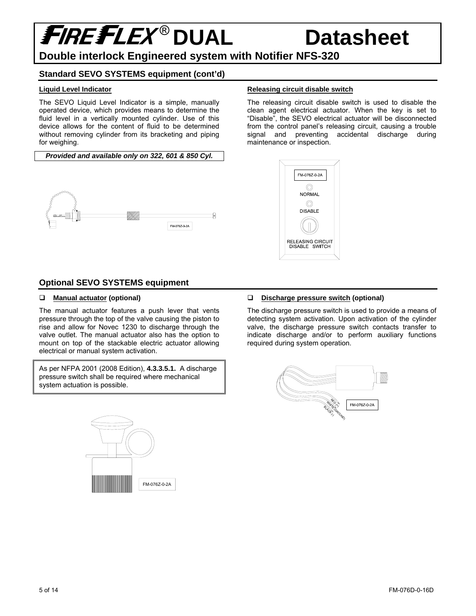## ® **DUAL Datasheet**

### **Double interlock Engineered system with Notifier NFS-320**

#### **Standard SEVO SYSTEMS equipment (cont'd)**

#### **Liquid Level Indicator**

The SEVO Liquid Level Indicator is a simple, manually operated device, which provides means to determine the fluid level in a vertically mounted cylinder. Use of this device allows for the content of fluid to be determined without removing cylinder from its bracketing and piping for weighing.

*Provided and available only on 322, 601 & 850 Cyl.* 



#### **Optional SEVO SYSTEMS equipment**

#### **Manual actuator (optional)**

The manual actuator features a push lever that vents pressure through the top of the valve causing the piston to rise and allow for Novec 1230 to discharge through the valve outlet. The manual actuator also has the option to mount on top of the stackable electric actuator allowing electrical or manual system activation.

As per NFPA 2001 (2008 Edition), **4.3.3.5.1.** A discharge pressure switch shall be required where mechanical system actuation is possible.



#### **Releasing circuit disable switch**

The releasing circuit disable switch is used to disable the clean agent electrical actuator. When the key is set to "Disable", the SEVO electrical actuator will be disconnected from the control panel's releasing circuit, causing a trouble signal and preventing accidental discharge during maintenance or inspection.



#### **Discharge pressure switch (optional)**

The discharge pressure switch is used to provide a means of detecting system activation. Upon activation of the cylinder valve, the discharge pressure switch contacts transfer to indicate discharge and/or to perform auxiliary functions required during system operation.

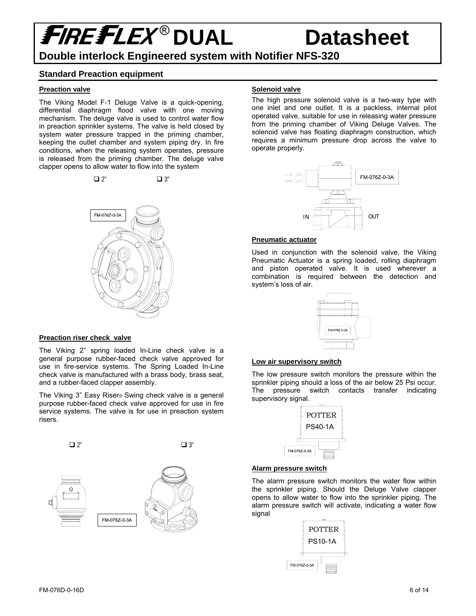## **FIREFLEX<sup>®</sup> DUAL Datasheet Double interlock Engineered system with Notifier NFS-320**

#### **Standard Preaction equipment**

#### **Preaction valve**

The Viking Model F-1 Deluge Valve is a quick-opening, differential diaphragm flood valve with one moving mechanism. The deluge valve is used to control water flow in preaction sprinkler systems. The valve is held closed by system water pressure trapped in the priming chamber, keeping the outlet chamber and system piping dry. In fire conditions, when the releasing system operates, pressure is released from the priming chamber. The deluge valve clapper opens to allow water to flow into the system

 $\Box$  2"  $\Box$  3"



#### **Preaction riser check valve**

The Viking 2" spring loaded In-Line check valve is a general purpose rubber-faced check valve approved for use in fire-service systems. The Spring Loaded In-Line check valve is manufactured with a brass body, brass seat, and a rubber-faced clapper assembly.

The Viking 3" Easy Riser® Swing check valve is a general purpose rubber-faced check valve approved for use in fire service systems. The valve is for use in preaction system risers.



#### **Solenoid valve**

The high pressure solenoid valve is a two-way type with one inlet and one outlet. It is a packless, internal pilot operated valve, suitable for use in releasing water pressure from the priming chamber of Viking Deluge Valves. The solenoid valve has floating diaphragm construction, which requires a minimum pressure drop across the valve to operate properly.



#### **Pneumatic actuator**

Used in conjunction with the solenoid valve, the Viking Pneumatic Actuator is a spring loaded, rolling diaphragm and piston operated valve. It is used wherever a combination is required between the detection and system's loss of air.



#### **Low air supervisory switch**

The low pressure switch monitors the pressure within the sprinkler piping should a loss of the air below 25 Psi occur. The pressure switch contacts transfer indicating supervisory signal.



#### **Alarm pressure switch**

The alarm pressure switch monitors the water flow within the sprinkler piping. Should the Deluge Valve clapper opens to allow water to flow into the sprinkler piping. The alarm pressure switch will activate, indicating a water flow signal

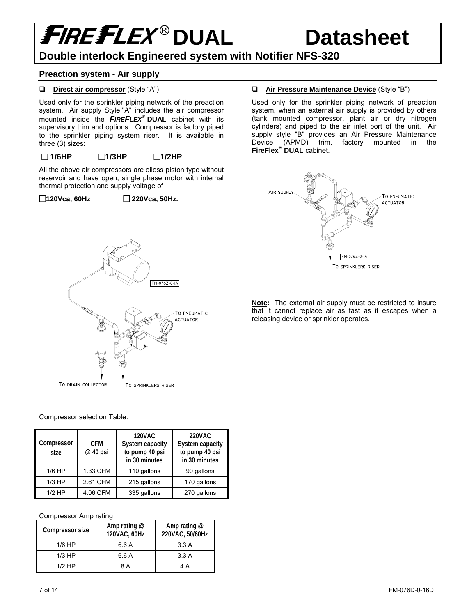### **Double interlock Engineered system with Notifier NFS-320**

#### **Preaction system - Air supply**

#### **Direct air compressor** (Style "A")

Used only for the sprinkler piping network of the preaction system. Air supply Style "A" includes the air compressor mounted inside the *FIREFLEX***® DUAL** cabinet with its supervisory trim and options. Compressor is factory piped to the sprinkler piping system riser. It is available in three (3) sizes:

#### **1/6HP 1/3HP 1/2HP**

All the above air compressors are oiless piston type without reservoir and have open, single phase motor with internal thermal protection and supply voltage of

FM-076Z-0-IA

TO PNEUMATIC **ACTUATOR** 

#### **120Vca, 60Hz 220Vca, 50Hz.**

### **Air Pressure Maintenance Device** (Style "B")

Used only for the sprinkler piping network of preaction system, when an external air supply is provided by others (tank mounted compressor, plant air or dry nitrogen cylinders) and piped to the air inlet port of the unit. Air supply style "B" provides an Air Pressure Maintenance Device (APMD) trim, factory mounted in the **FireFlex® DUAL** cabinet.



**Note:** The external air supply must be restricted to insure that it cannot replace air as fast as it escapes when a releasing device or sprinkler operates.



TO DRAIN COLLECTOR

| Compressor<br>size | <b>CFM</b><br>@ 40 psi | <b>120VAC</b><br>System capacity<br>to pump 40 psi<br>in 30 minutes | <b>220VAC</b><br>System capacity<br>to pump 40 psi<br>in 30 minutes |
|--------------------|------------------------|---------------------------------------------------------------------|---------------------------------------------------------------------|
| $1/6$ HP           | 1.33 CFM               | 110 gallons                                                         | 90 gallons                                                          |
| $1/3$ HP           | 2.61 CFM               | 215 gallons                                                         | 170 gallons                                                         |
| $1/2$ HP           | 4.06 CFM               | 335 gallons                                                         | 270 gallons                                                         |

TO SPRINKLERS RISER

#### Compressor Amp rating

| Compressor size | Amp rating $@$<br>120VAC, 60Hz | Amp rating $@$<br>220VAC, 50/60Hz |
|-----------------|--------------------------------|-----------------------------------|
| $1/6$ HP        | 6.6 A                          | 3.3A                              |
| $1/3$ HP        | 6.6 A                          | 3.3A                              |
| $1/2$ HP        | 8 A                            | 4 A                               |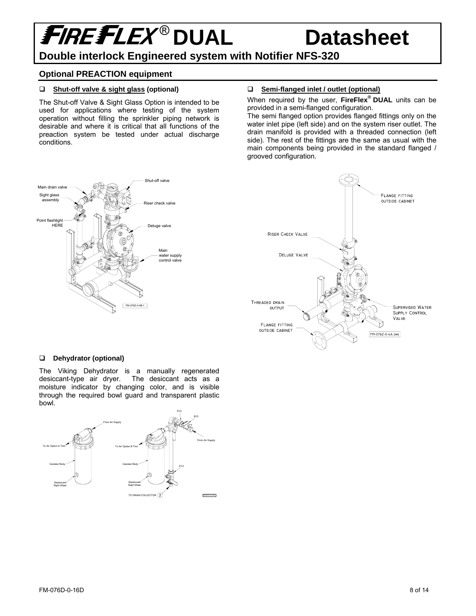### **Double interlock Engineered system with Notifier NFS-320**

#### **Optional PREACTION equipment**

#### **Shut-off valve & sight glass (optional)**

The Shut-off Valve & Sight Glass Option is intended to be used for applications where testing of the system operation without filling the sprinkler piping network is desirable and where it is critical that all functions of the preaction system be tested under actual discharge conditions.

#### **Semi-flanged inlet / outlet (optional)**

When required by the user, **FireFlex® DUAL** units can be provided in a semi-flanged configuration.

The semi flanged option provides flanged fittings only on the water inlet pipe (left side) and on the system riser outlet. The drain manifold is provided with a threaded connection (left side). The rest of the fittings are the same as usual with the main components being provided in the standard flanged / grooved configuration.





#### **Dehydrator (optional)**

The Viking Dehydrator is a manually regenerated desiccant-type air dryer. The desiccant acts as a moisture indicator by changing color, and is visible through the required bowl guard and transparent plastic bowl.

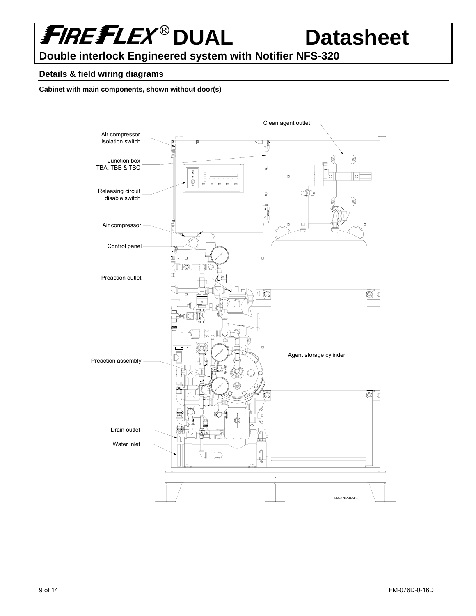## **FIREFLEX® DUAL Datasheet**

**Double interlock Engineered system with Notifier NFS-320** 

#### **Details & field wiring diagrams**

**Cabinet with main components, shown without door(s)** 

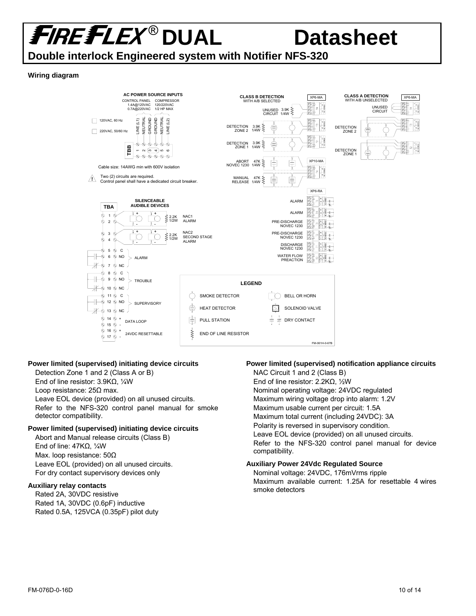**Double interlock Engineered system with Notifier NFS-320** 

#### **Wiring diagram**



#### **Power limited (supervised) initiating device circuits**

Detection Zone 1 and 2 (Class A or B) End of line resistor: 3.9KΩ, ¼W Loop resistance: 25Ω max. Leave EOL device (provided) on all unused circuits. Refer to the NFS-320 control panel manual for smoke detector compatibility.

#### **Power limited (supervised) initiating device circuits**

Abort and Manual release circuits (Class B) End of line: 47KΩ, ¼W Max. loop resistance: 50Ω Leave EOL (provided) on all unused circuits. For dry contact supervisory devices only

#### **Auxiliary relay contacts**

Rated 2A, 30VDC resistive Rated 1A, 30VDC (0.6pF) inductive Rated 0.5A, 125VCA (0.35pF) pilot duty

#### **Power limited (supervised) notification appliance circuits**

NAC Circuit 1 and 2 (Class B) End of line resistor: 2.2KΩ, ½W Nominal operating voltage: 24VDC regulated Maximum wiring voltage drop into alarm: 1.2V Maximum usable current per circuit: 1.5A Maximum total current (including 24VDC): 3A Polarity is reversed in supervisory condition. Leave EOL device (provided) on all unused circuits. Refer to the NFS-320 control panel manual for device compatibility.

#### **Auxiliary Power 24Vdc Regulated Source**

Nominal voltage: 24VDC, 176mVrms ripple Maximum available current: 1.25A for resettable 4 wires smoke detectors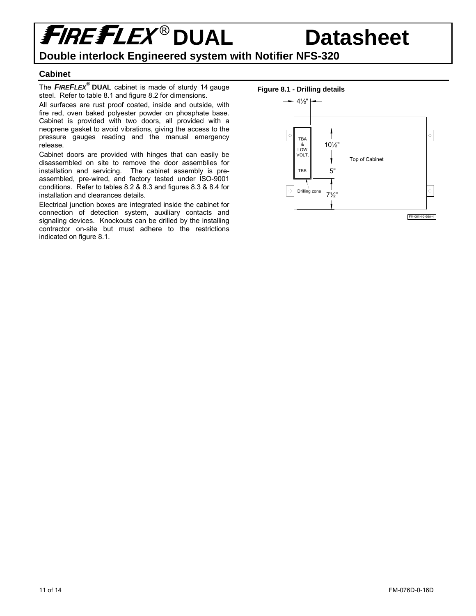### **Double interlock Engineered system with Notifier NFS-320**

#### **Cabinet**

The *FIREFLEX®*  **DUAL** cabinet is made of sturdy 14 gauge steel. Refer to table 8.1 and figure 8.2 for dimensions.

All surfaces are rust proof coated, inside and outside, with fire red, oven baked polyester powder on phosphate base. Cabinet is provided with two doors, all provided with a neoprene gasket to avoid vibrations, giving the access to the pressure gauges reading and the manual emergency release.

Cabinet doors are provided with hinges that can easily be disassembled on site to remove the door assemblies for installation and servicing. The cabinet assembly is preassembled, pre-wired, and factory tested under ISO-9001 conditions. Refer to tables 8.2 & 8.3 and figures 8.3 & 8.4 for installation and clearances details.

Electrical junction boxes are integrated inside the cabinet for connection of detection system, auxiliary contacts and signaling devices. Knockouts can be drilled by the installing contractor on-site but must adhere to the restrictions indicated on figure 8.1.

#### **Figure 8.1 - Drilling details**

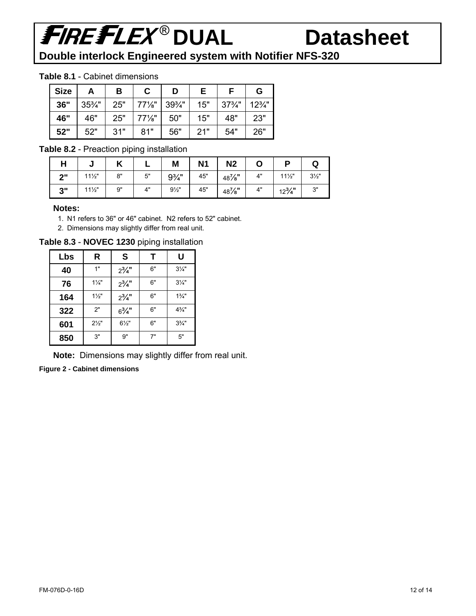# **FIREFLEX® DUAL Datasheet**

**Double interlock Engineered system with Notifier NFS-320** 

#### **Table 8.1** - Cabinet dimensions

| <b>Size</b> | A                 | В   | С                 | D                 |     |                   | G               |
|-------------|-------------------|-----|-------------------|-------------------|-----|-------------------|-----------------|
| 36"         | $35\frac{3}{4}$ " | 25" | $77\%$ "          | $39\frac{3}{4}$ " | 15" | $37\frac{3}{4}$ " | $12\frac{3}{4}$ |
| 46"         | 46"               | 25" | $77\frac{1}{8}$ " | 50"               | 15" | 48"               | 23"             |
| 52"         | 52"               | 31" | 81"               | 56"               | 21" | 54"               | 26"             |

#### **Table 8.2** - Preaction piping installation

| п   | ν               | ı<br>" |    | Μ                | N <sub>1</sub> | N <sub>2</sub>      |    |                   | w              |
|-----|-----------------|--------|----|------------------|----------------|---------------------|----|-------------------|----------------|
| יימ | $11\frac{1}{2}$ | 8"     | 5" | $9\frac{3}{4}$ " | 45"            | 48%"                | 4" | $11\frac{1}{2}$   | $3\frac{1}{2}$ |
| 3"  | $11\frac{1}{2}$ | 9"     | 4" | $9\frac{1}{2}$   | 45"            | 48 <sup>7</sup> ⁄8" | 4" | $12\frac{3}{4}$ " | 3"             |

#### **Notes:**

- 1. N1 refers to 36" or 46" cabinet. N2 refers to 52" cabinet.
- 2. Dimensions may slightly differ from real unit.

**Table 8.3** - **NOVEC 1230** piping installation

| Lbs | R              | S                | Т  | U                |
|-----|----------------|------------------|----|------------------|
| 40  | 1"             | $2^{3}/4$ "      | 6" | $3\frac{1}{4}$   |
| 76  | $1\frac{1}{4}$ | $2^{3}/4$ "      | 6" | $3\frac{1}{4}$   |
| 164 | $1\frac{1}{2}$ | $2^{3}/4$ "      | 6" | $1\frac{3}{4}$ " |
| 322 | 2"             | $6\frac{3}{4}$ " | 6" | $4\frac{3}{4}$ " |
| 601 | $2\frac{1}{2}$ | $6\frac{1}{2}$ " | 6" | $3\frac{3}{4}$ " |
| 850 | 3"             | <b>g"</b>        | 7" | 5"               |

**Note:** Dimensions may slightly differ from real unit.

**Figure 2 - Cabinet dimensions**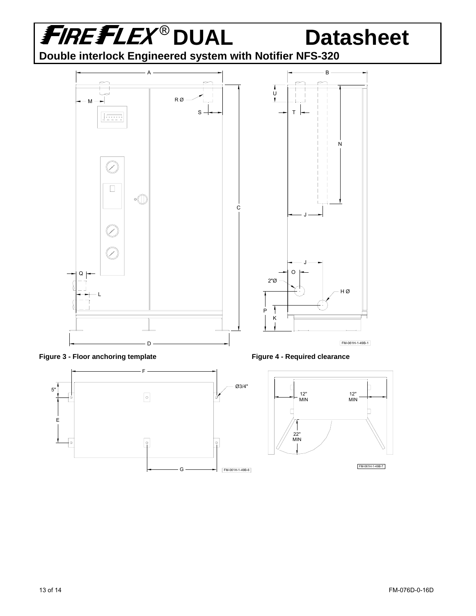

FM-061H-1-49B-6